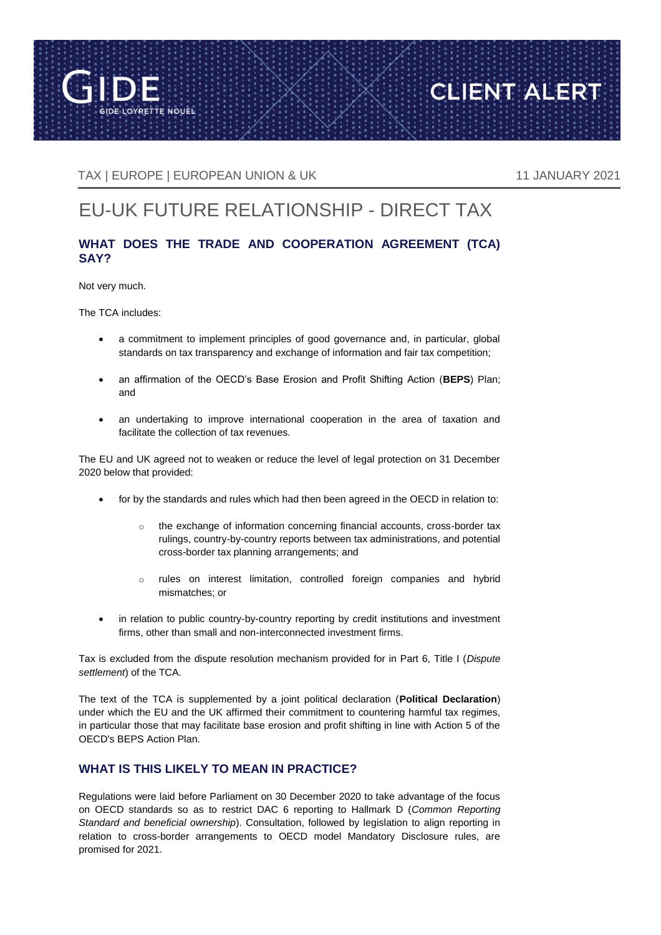

TAX | EUROPE | EUROPEAN UNION & UK 11 JANUARY 2021

**CLIENT ALERT** 

# EU-UK FUTURE RELATIONSHIP - DIRECT TAX

## **WHAT DOES THE TRADE AND COOPERATION AGREEMENT (TCA) SAY?**

Not very much.

The TCA includes:

- a commitment to implement principles of good governance and, in particular, global standards on tax transparency and exchange of information and fair tax competition;
- an affirmation of the OECD's Base Erosion and Profit Shifting Action (**BEPS**) Plan; and
- an undertaking to improve international cooperation in the area of taxation and facilitate the collection of tax revenues.

The EU and UK agreed not to weaken or reduce the level of legal protection on 31 December 2020 below that provided:

- for by the standards and rules which had then been agreed in the OECD in relation to:
	- o the exchange of information concerning financial accounts, cross-border tax rulings, country-by-country reports between tax administrations, and potential cross-border tax planning arrangements; and
	- o rules on interest limitation, controlled foreign companies and hybrid mismatches; or
- in relation to public country-by-country reporting by credit institutions and investment firms, other than small and non-interconnected investment firms.

Tax is excluded from the dispute resolution mechanism provided for in Part 6, Title I (*Dispute settlement*) of the TCA.

The text of the TCA is supplemented by a joint political declaration (**Political Declaration**) under which the EU and the UK affirmed their commitment to countering harmful tax regimes, in particular those that may facilitate base erosion and profit shifting in line with Action 5 of the OECD's BEPS Action Plan.

### **WHAT IS THIS LIKELY TO MEAN IN PRACTICE?**

Regulations were laid before Parliament on 30 December 2020 to take advantage of the focus on OECD standards so as to restrict DAC 6 reporting to Hallmark D (*Common Reporting Standard and beneficial ownership*). Consultation, followed by legislation to align reporting in relation to cross-border arrangements to OECD model Mandatory Disclosure rules, are promised for 2021.